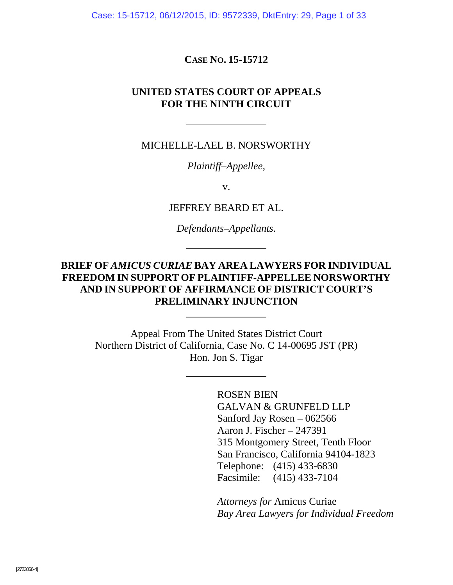Case: 15-15712, 06/12/2015, ID: 9572339, DktEntry: 29, Page 1 of 33

**CASE NO. 15-15712** 

#### **UNITED STATES COURT OF APPEALS FOR THE NINTH CIRCUIT**

MICHELLE-LAEL B. NORSWORTHY

*Plaintiff–Appellee,* 

v.

JEFFREY BEARD ET AL.

*Defendants–Appellants.* 

### **BRIEF OF** *AMICUS CURIAE* **BAY AREA LAWYERS FOR INDIVIDUAL FREEDOM IN SUPPORT OF PLAINTIFF-APPELLEE NORSWORTHY AND IN SUPPORT OF AFFIRMANCE OF DISTRICT COURT'S PRELIMINARY INJUNCTION**

Appeal From The United States District Court Northern District of California, Case No. C 14-00695 JST (PR) Hon. Jon S. Tigar

> ROSEN BIEN GALVAN & GRUNFELD LLP Sanford Jay Rosen – 062566 Aaron J. Fischer – 247391 315 Montgomery Street, Tenth Floor San Francisco, California 94104-1823 Telephone: (415) 433-6830 Facsimile: (415) 433-7104

*Attorneys for* Amicus Curiae *Bay Area Lawyers for Individual Freedom*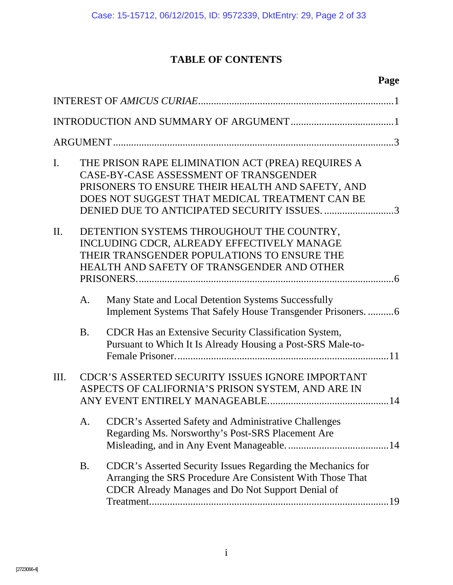# **TABLE OF CONTENTS**

# **Page**

| I.        |           | THE PRISON RAPE ELIMINATION ACT (PREA) REQUIRES A<br>CASE-BY-CASE ASSESSMENT OF TRANSGENDER<br>PRISONERS TO ENSURE THEIR HEALTH AND SAFETY, AND<br>DOES NOT SUGGEST THAT MEDICAL TREATMENT CAN BE<br>DENIED DUE TO ANTICIPATED SECURITY ISSUES. 3 |  |  |  |
|-----------|-----------|---------------------------------------------------------------------------------------------------------------------------------------------------------------------------------------------------------------------------------------------------|--|--|--|
| $\prod$ . |           | DETENTION SYSTEMS THROUGHOUT THE COUNTRY,<br>INCLUDING CDCR, ALREADY EFFECTIVELY MANAGE<br>THEIR TRANSGENDER POPULATIONS TO ENSURE THE<br>HEALTH AND SAFETY OF TRANSGENDER AND OTHER                                                              |  |  |  |
|           | A.        | Many State and Local Detention Systems Successfully<br>Implement Systems That Safely House Transgender Prisoners.  6                                                                                                                              |  |  |  |
|           | <b>B.</b> | CDCR Has an Extensive Security Classification System,<br>Pursuant to Which It Is Already Housing a Post-SRS Male-to-                                                                                                                              |  |  |  |
| Ш.        |           | CDCR'S ASSERTED SECURITY ISSUES IGNORE IMPORTANT<br>ASPECTS OF CALIFORNIA'S PRISON SYSTEM, AND ARE IN                                                                                                                                             |  |  |  |
|           | A.        | <b>CDCR's Asserted Safety and Administrative Challenges</b><br>Regarding Ms. Norsworthy's Post-SRS Placement Are                                                                                                                                  |  |  |  |
|           | <b>B.</b> | CDCR's Asserted Security Issues Regarding the Mechanics for<br>Arranging the SRS Procedure Are Consistent With Those That<br><b>CDCR</b> Already Manages and Do Not Support Denial of                                                             |  |  |  |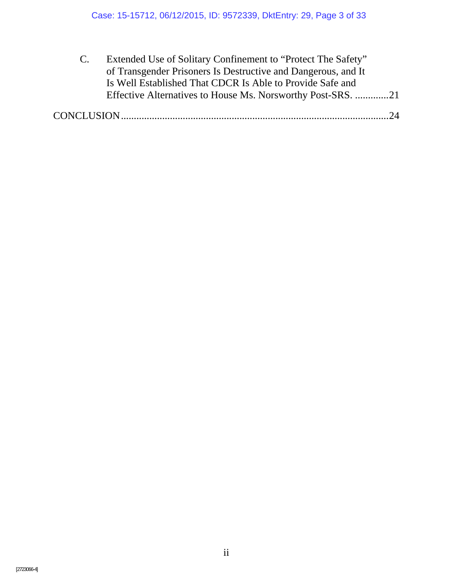| $\mathbf{C}$ | Extended Use of Solitary Confinement to "Protect The Safety"  |
|--------------|---------------------------------------------------------------|
|              | of Transgender Prisoners Is Destructive and Dangerous, and It |
|              | Is Well Established That CDCR Is Able to Provide Safe and     |
|              | Effective Alternatives to House Ms. Norsworthy Post-SRS. 21   |
|              | $\gamma_4$                                                    |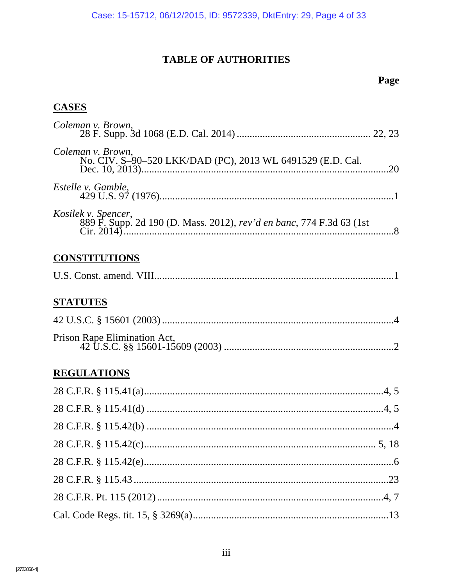## **TABLE OF AUTHORITIES**

## Page

# **CASES**

| Coleman v. Brown,                                                                            |  |
|----------------------------------------------------------------------------------------------|--|
| Coleman v. Brown,<br>No. CIV. S-90-520 LKK/DAD (PC), 2013 WL 6491529 (E.D. Cal.              |  |
| Estelle v. Gamble,                                                                           |  |
| Kosilek v. Spencer,<br>889 F. Supp. 2d 190 (D. Mass. 2012), rev'd en banc, 774 F.3d 63 (1st) |  |
| <b>CONSTITUTIONS</b>                                                                         |  |
|                                                                                              |  |
| <b>STATUTES</b>                                                                              |  |
|                                                                                              |  |
| Prison Rape Elimination Act,                                                                 |  |
| <b>REGULATIONS</b>                                                                           |  |
|                                                                                              |  |
|                                                                                              |  |
|                                                                                              |  |
|                                                                                              |  |
|                                                                                              |  |
|                                                                                              |  |
|                                                                                              |  |
|                                                                                              |  |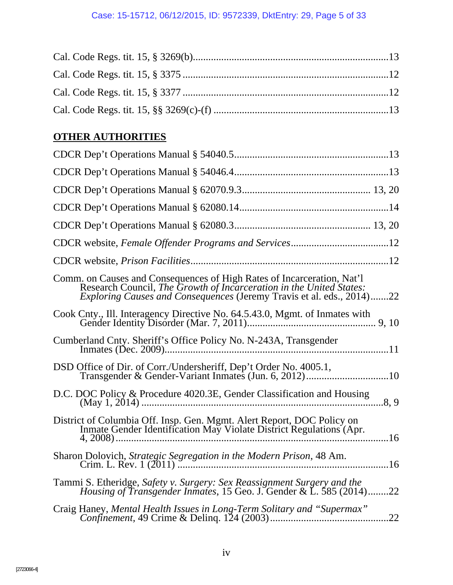# **OTHER AUTHORITIES**

| CDCR website, Female Offender Programs and Services12                                                                                                                                                                         |
|-------------------------------------------------------------------------------------------------------------------------------------------------------------------------------------------------------------------------------|
|                                                                                                                                                                                                                               |
| Comm. on Causes and Consequences of High Rates of Incarceration, Nat'l<br>Research Council, The Growth of Incarceration in the United States:<br><i>Exploring Causes and Consequences (Jeremy Travis et al. eds., 2014)22</i> |
| Cook Cnty., Ill. Interagency Directive No. 64.5.43.0, Mgmt. of Inmates with                                                                                                                                                   |
| Cumberland Cnty. Sheriff's Office Policy No. N-243A, Transgender                                                                                                                                                              |
|                                                                                                                                                                                                                               |
|                                                                                                                                                                                                                               |
| District of Columbia Off. Insp. Gen. Mgmt. Alert Report, DOC Policy on<br>Inmate Gender Identification May Violate District Regulations (Apr.                                                                                 |
|                                                                                                                                                                                                                               |
| Tammi S. Etheridge, Safety v. Surgery: Sex Reassignment Surgery and the<br>Housing of Transgender Inmates, 15 Geo. J. Gender & L. 585 (2014)22                                                                                |
|                                                                                                                                                                                                                               |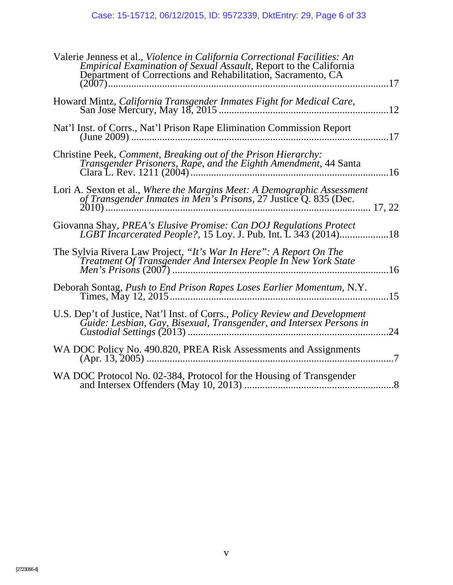| Valerie Jenness et al., Violence in California Correctional Facilities: An<br>Empirical Examination of Sexual Assault, Report to the California<br>Department of Corrections and Rehabilitation, Sacramento, CA<br>.17 |
|------------------------------------------------------------------------------------------------------------------------------------------------------------------------------------------------------------------------|
| Howard Mintz, California Transgender Inmates Fight for Medical Care,                                                                                                                                                   |
| Nat'l Inst. of Corrs., Nat'l Prison Rape Elimination Commission Report<br>.17                                                                                                                                          |
| Christine Peek, Comment, Breaking out of the Prison Hierarchy:<br>Transgender Prisoners, Rape, and the Eighth Amendment, 44 Santa                                                                                      |
| Lori A. Sexton et al., Where the Margins Meet: A Demographic Assessment                                                                                                                                                |
| Giovanna Shay, PREA's Elusive Promise: Can DOJ Regulations Protect<br>LGBT Incarcerated People?, 15 Loy. J. Pub. Int. L 343 (2014)18                                                                                   |
| The Sylvia Rivera Law Project, "It's War In Here": A Report On The<br>Treatment Of Transgender And Intersex People In New York State<br>16                                                                             |
| Deborah Sontag, Push to End Prison Rapes Loses Earlier Momentum, N.Y.<br>.15                                                                                                                                           |
| U.S. Dep't of Justice, Nat'l Inst. of Corrs., <i>Policy Review and Development</i><br>Guide: Lesbian, Gay, Bisexual, Transgender, and Intersex Persons in<br>24                                                        |
| WA DOC Policy No. 490.820, PREA Risk Assessments and Assignments<br>$\overline{7}$                                                                                                                                     |
| WA DOC Protocol No. 02-384, Protocol for the Housing of Transgender                                                                                                                                                    |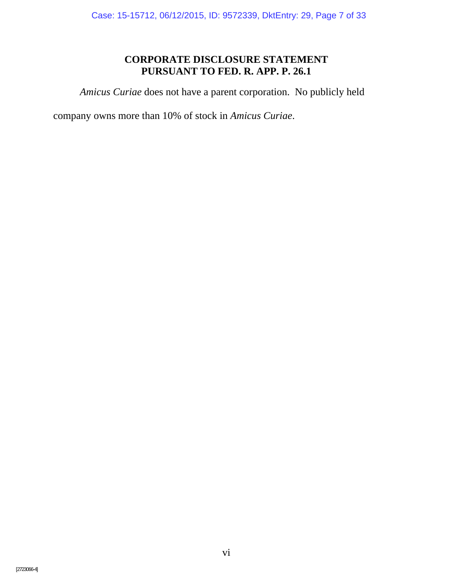## **CORPORATE DISCLOSURE STATEMENT PURSUANT TO FED. R. APP. P. 26.1**

*Amicus Curiae* does not have a parent corporation. No publicly held

company owns more than 10% of stock in *Amicus Curiae*.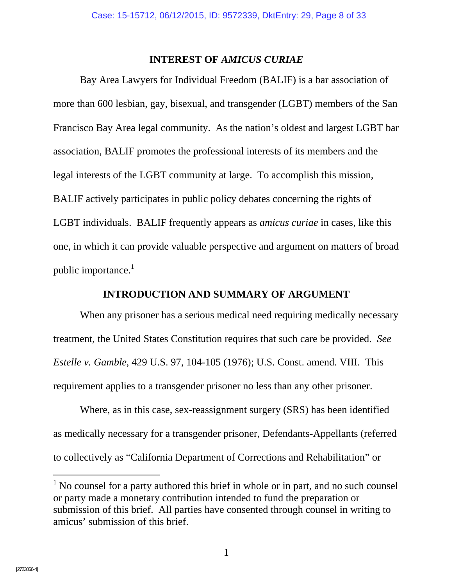#### **INTEREST OF** *AMICUS CURIAE*

Bay Area Lawyers for Individual Freedom (BALIF) is a bar association of more than 600 lesbian, gay, bisexual, and transgender (LGBT) members of the San Francisco Bay Area legal community. As the nation's oldest and largest LGBT bar association, BALIF promotes the professional interests of its members and the legal interests of the LGBT community at large. To accomplish this mission, BALIF actively participates in public policy debates concerning the rights of LGBT individuals. BALIF frequently appears as *amicus curiae* in cases, like this one, in which it can provide valuable perspective and argument on matters of broad public importance.<sup>1</sup>

#### **INTRODUCTION AND SUMMARY OF ARGUMENT**

When any prisoner has a serious medical need requiring medically necessary treatment, the United States Constitution requires that such care be provided. *See Estelle v. Gamble*, 429 U.S. 97, 104-105 (1976); U.S. Const. amend. VIII. This requirement applies to a transgender prisoner no less than any other prisoner.

Where, as in this case, sex-reassignment surgery (SRS) has been identified as medically necessary for a transgender prisoner, Defendants-Appellants (referred to collectively as "California Department of Corrections and Rehabilitation" or

 $\overline{a}$ 

 $<sup>1</sup>$  No counsel for a party authored this brief in whole or in part, and no such counsel</sup> or party made a monetary contribution intended to fund the preparation or submission of this brief. All parties have consented through counsel in writing to amicus' submission of this brief.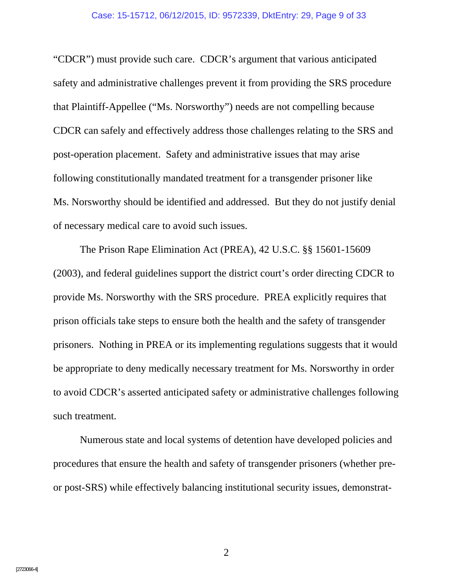"CDCR") must provide such care. CDCR's argument that various anticipated safety and administrative challenges prevent it from providing the SRS procedure that Plaintiff-Appellee ("Ms. Norsworthy") needs are not compelling because CDCR can safely and effectively address those challenges relating to the SRS and post-operation placement. Safety and administrative issues that may arise following constitutionally mandated treatment for a transgender prisoner like Ms. Norsworthy should be identified and addressed. But they do not justify denial of necessary medical care to avoid such issues.

The Prison Rape Elimination Act (PREA), 42 U.S.C. §§ 15601-15609 (2003), and federal guidelines support the district court's order directing CDCR to provide Ms. Norsworthy with the SRS procedure. PREA explicitly requires that prison officials take steps to ensure both the health and the safety of transgender prisoners. Nothing in PREA or its implementing regulations suggests that it would be appropriate to deny medically necessary treatment for Ms. Norsworthy in order to avoid CDCR's asserted anticipated safety or administrative challenges following such treatment.

Numerous state and local systems of detention have developed policies and procedures that ensure the health and safety of transgender prisoners (whether preor post-SRS) while effectively balancing institutional security issues, demonstrat-

[2723066-4]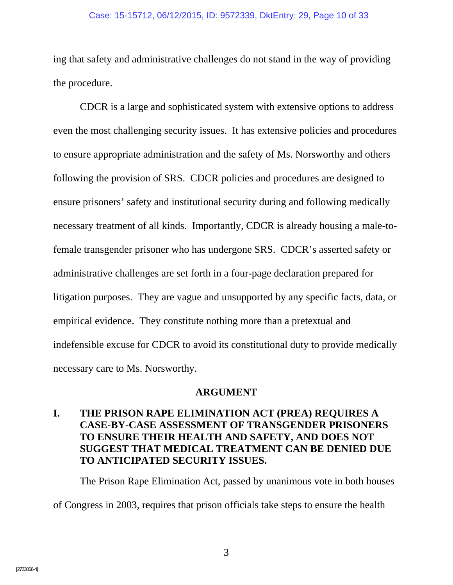#### Case: 15-15712, 06/12/2015, ID: 9572339, DktEntry: 29, Page 10 of 33

ing that safety and administrative challenges do not stand in the way of providing the procedure.

CDCR is a large and sophisticated system with extensive options to address even the most challenging security issues. It has extensive policies and procedures to ensure appropriate administration and the safety of Ms. Norsworthy and others following the provision of SRS. CDCR policies and procedures are designed to ensure prisoners' safety and institutional security during and following medically necessary treatment of all kinds. Importantly, CDCR is already housing a male-tofemale transgender prisoner who has undergone SRS. CDCR's asserted safety or administrative challenges are set forth in a four-page declaration prepared for litigation purposes. They are vague and unsupported by any specific facts, data, or empirical evidence. They constitute nothing more than a pretextual and indefensible excuse for CDCR to avoid its constitutional duty to provide medically necessary care to Ms. Norsworthy.

#### **ARGUMENT**

## **I. THE PRISON RAPE ELIMINATION ACT (PREA) REQUIRES A CASE-BY-CASE ASSESSMENT OF TRANSGENDER PRISONERS TO ENSURE THEIR HEALTH AND SAFETY, AND DOES NOT SUGGEST THAT MEDICAL TREATMENT CAN BE DENIED DUE TO ANTICIPATED SECURITY ISSUES.**

The Prison Rape Elimination Act, passed by unanimous vote in both houses

of Congress in 2003, requires that prison officials take steps to ensure the health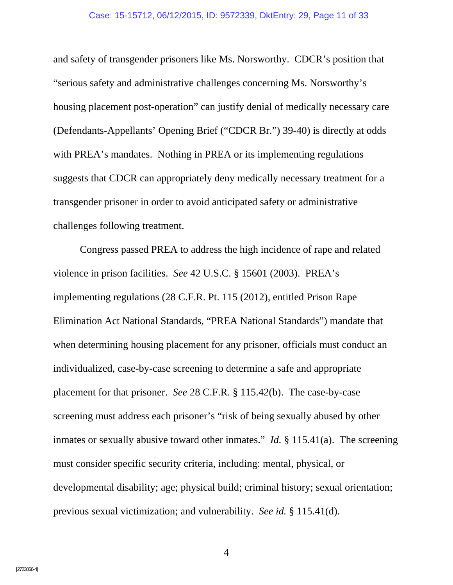#### Case: 15-15712, 06/12/2015, ID: 9572339, DktEntry: 29, Page 11 of 33

and safety of transgender prisoners like Ms. Norsworthy. CDCR's position that "serious safety and administrative challenges concerning Ms. Norsworthy's housing placement post-operation" can justify denial of medically necessary care (Defendants-Appellants' Opening Brief ("CDCR Br.") 39-40) is directly at odds with PREA's mandates. Nothing in PREA or its implementing regulations suggests that CDCR can appropriately deny medically necessary treatment for a transgender prisoner in order to avoid anticipated safety or administrative challenges following treatment.

Congress passed PREA to address the high incidence of rape and related violence in prison facilities. *See* 42 U.S.C. § 15601 (2003). PREA's implementing regulations (28 C.F.R. Pt. 115 (2012), entitled Prison Rape Elimination Act National Standards, "PREA National Standards") mandate that when determining housing placement for any prisoner, officials must conduct an individualized, case-by-case screening to determine a safe and appropriate placement for that prisoner. *See* 28 C.F.R. § 115.42(b). The case-by-case screening must address each prisoner's "risk of being sexually abused by other inmates or sexually abusive toward other inmates." *Id.* § 115.41(a). The screening must consider specific security criteria, including: mental, physical, or developmental disability; age; physical build; criminal history; sexual orientation; previous sexual victimization; and vulnerability. *See id.* § 115.41(d).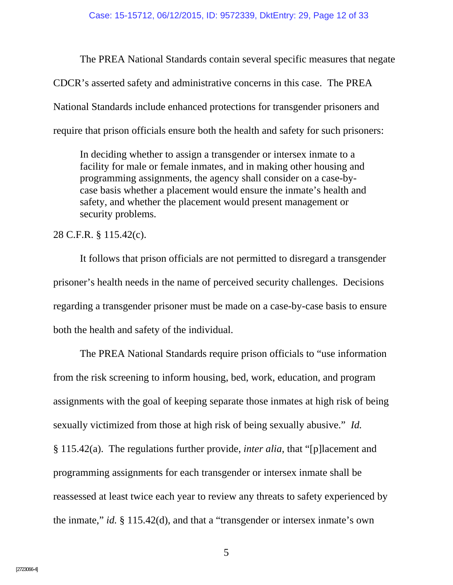The PREA National Standards contain several specific measures that negate CDCR's asserted safety and administrative concerns in this case. The PREA National Standards include enhanced protections for transgender prisoners and require that prison officials ensure both the health and safety for such prisoners:

In deciding whether to assign a transgender or intersex inmate to a facility for male or female inmates, and in making other housing and programming assignments, the agency shall consider on a case-bycase basis whether a placement would ensure the inmate's health and safety, and whether the placement would present management or security problems.

28 C.F.R. § 115.42(c).

It follows that prison officials are not permitted to disregard a transgender prisoner's health needs in the name of perceived security challenges. Decisions regarding a transgender prisoner must be made on a case-by-case basis to ensure both the health and safety of the individual.

The PREA National Standards require prison officials to "use information from the risk screening to inform housing, bed, work, education, and program assignments with the goal of keeping separate those inmates at high risk of being sexually victimized from those at high risk of being sexually abusive." *Id.* § 115.42(a). The regulations further provide, *inter alia*, that "[p]lacement and programming assignments for each transgender or intersex inmate shall be reassessed at least twice each year to review any threats to safety experienced by the inmate," *id.* § 115.42(d), and that a "transgender or intersex inmate's own

 $5<sup>5</sup>$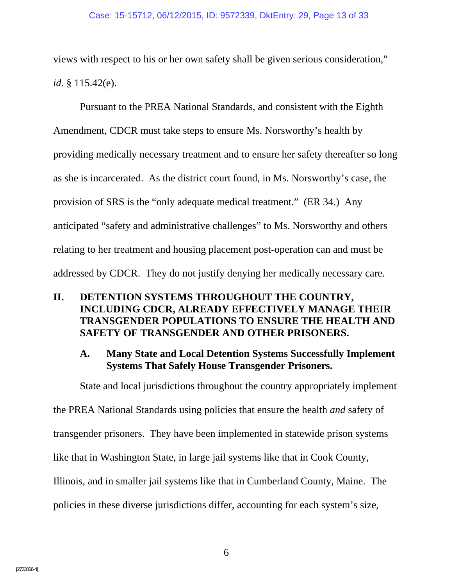views with respect to his or her own safety shall be given serious consideration," *id.* § 115.42(e).

Pursuant to the PREA National Standards, and consistent with the Eighth Amendment, CDCR must take steps to ensure Ms. Norsworthy's health by providing medically necessary treatment and to ensure her safety thereafter so long as she is incarcerated. As the district court found, in Ms. Norsworthy's case, the provision of SRS is the "only adequate medical treatment." (ER 34.) Any anticipated "safety and administrative challenges" to Ms. Norsworthy and others relating to her treatment and housing placement post-operation can and must be addressed by CDCR. They do not justify denying her medically necessary care.

### **II. DETENTION SYSTEMS THROUGHOUT THE COUNTRY, INCLUDING CDCR, ALREADY EFFECTIVELY MANAGE THEIR TRANSGENDER POPULATIONS TO ENSURE THE HEALTH AND SAFETY OF TRANSGENDER AND OTHER PRISONERS.**

### **A. Many State and Local Detention Systems Successfully Implement Systems That Safely House Transgender Prisoners.**

State and local jurisdictions throughout the country appropriately implement

the PREA National Standards using policies that ensure the health *and* safety of transgender prisoners. They have been implemented in statewide prison systems like that in Washington State, in large jail systems like that in Cook County, Illinois, and in smaller jail systems like that in Cumberland County, Maine. The policies in these diverse jurisdictions differ, accounting for each system's size,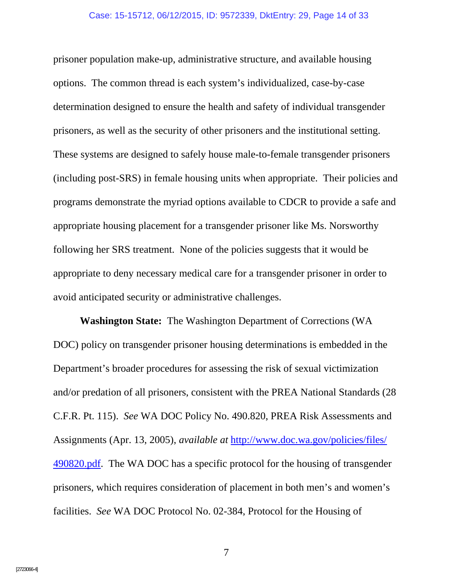prisoner population make-up, administrative structure, and available housing options. The common thread is each system's individualized, case-by-case determination designed to ensure the health and safety of individual transgender prisoners, as well as the security of other prisoners and the institutional setting. These systems are designed to safely house male-to-female transgender prisoners (including post-SRS) in female housing units when appropriate. Their policies and programs demonstrate the myriad options available to CDCR to provide a safe and appropriate housing placement for a transgender prisoner like Ms. Norsworthy following her SRS treatment. None of the policies suggests that it would be appropriate to deny necessary medical care for a transgender prisoner in order to avoid anticipated security or administrative challenges.

**Washington State:** The Washington Department of Corrections (WA DOC) policy on transgender prisoner housing determinations is embedded in the Department's broader procedures for assessing the risk of sexual victimization and/or predation of all prisoners, consistent with the PREA National Standards (28 C.F.R. Pt. 115). *See* WA DOC Policy No. 490.820, PREA Risk Assessments and Assignments (Apr. 13, 2005), *available at* http://www.doc.wa.gov/policies/files/ 490820.pdf. The WA DOC has a specific protocol for the housing of transgender prisoners, which requires consideration of placement in both men's and women's facilities. *See* WA DOC Protocol No. 02-384, Protocol for the Housing of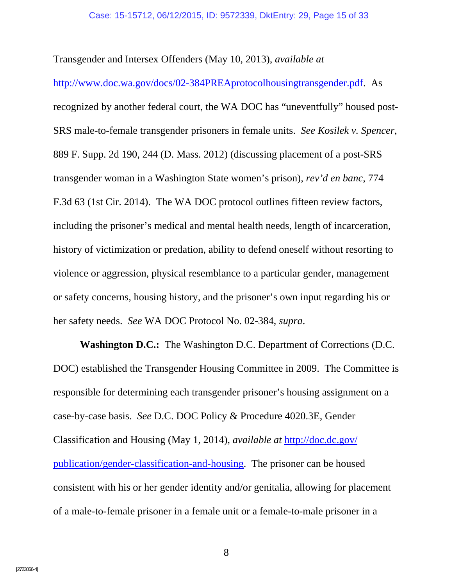Transgender and Intersex Offenders (May 10, 2013), *available at*

http://www.doc.wa.gov/docs/02-384PREAprotocolhousingtransgender.pdf. As recognized by another federal court, the WA DOC has "uneventfully" housed post-SRS male-to-female transgender prisoners in female units. *See Kosilek v. Spencer*, 889 F. Supp. 2d 190, 244 (D. Mass. 2012) (discussing placement of a post-SRS transgender woman in a Washington State women's prison), *rev'd en banc*, 774 F.3d 63 (1st Cir. 2014). The WA DOC protocol outlines fifteen review factors, including the prisoner's medical and mental health needs, length of incarceration, history of victimization or predation, ability to defend oneself without resorting to violence or aggression, physical resemblance to a particular gender, management or safety concerns, housing history, and the prisoner's own input regarding his or her safety needs. *See* WA DOC Protocol No. 02-384, *supra*.

**Washington D.C.:** The Washington D.C. Department of Corrections (D.C. DOC) established the Transgender Housing Committee in 2009. The Committee is responsible for determining each transgender prisoner's housing assignment on a case-by-case basis. *See* D.C. DOC Policy & Procedure 4020.3E, Gender Classification and Housing (May 1, 2014), *available at* http://doc.dc.gov/ publication/gender-classification-and-housing. The prisoner can be housed consistent with his or her gender identity and/or genitalia, allowing for placement of a male-to-female prisoner in a female unit or a female-to-male prisoner in a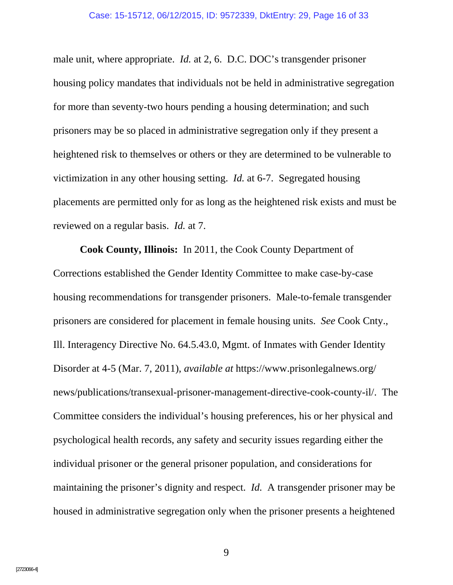male unit, where appropriate. *Id.* at 2, 6. D.C. DOC's transgender prisoner housing policy mandates that individuals not be held in administrative segregation for more than seventy-two hours pending a housing determination; and such prisoners may be so placed in administrative segregation only if they present a heightened risk to themselves or others or they are determined to be vulnerable to victimization in any other housing setting. *Id.* at 6-7. Segregated housing placements are permitted only for as long as the heightened risk exists and must be reviewed on a regular basis. *Id.* at 7.

**Cook County, Illinois:** In 2011, the Cook County Department of Corrections established the Gender Identity Committee to make case-by-case housing recommendations for transgender prisoners. Male-to-female transgender prisoners are considered for placement in female housing units. *See* Cook Cnty., Ill. Interagency Directive No. 64.5.43.0, Mgmt. of Inmates with Gender Identity Disorder at 4-5 (Mar. 7, 2011), *available at* https://www.prisonlegalnews.org/ news/publications/transexual-prisoner-management-directive-cook-county-il/. The Committee considers the individual's housing preferences, his or her physical and psychological health records, any safety and security issues regarding either the individual prisoner or the general prisoner population, and considerations for maintaining the prisoner's dignity and respect. *Id.* A transgender prisoner may be housed in administrative segregation only when the prisoner presents a heightened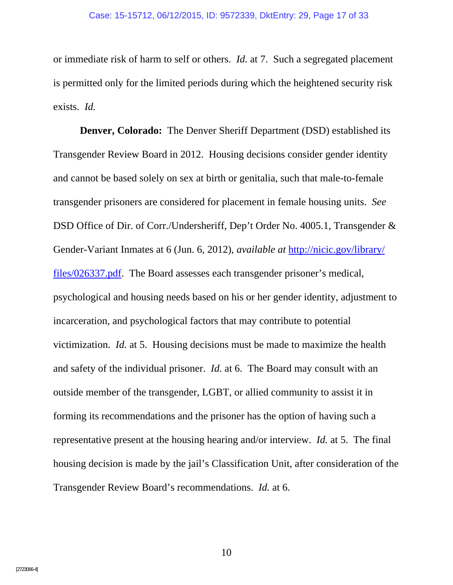or immediate risk of harm to self or others. *Id.* at 7. Such a segregated placement is permitted only for the limited periods during which the heightened security risk exists. *Id.*

**Denver, Colorado:** The Denver Sheriff Department (DSD) established its Transgender Review Board in 2012. Housing decisions consider gender identity and cannot be based solely on sex at birth or genitalia, such that male-to-female transgender prisoners are considered for placement in female housing units. *See* DSD Office of Dir. of Corr./Undersheriff, Dep't Order No. 4005.1, Transgender & Gender-Variant Inmates at 6 (Jun. 6, 2012), *available at* http://nicic.gov/library/ files/026337.pdf. The Board assesses each transgender prisoner's medical, psychological and housing needs based on his or her gender identity, adjustment to incarceration, and psychological factors that may contribute to potential victimization. *Id.* at 5. Housing decisions must be made to maximize the health and safety of the individual prisoner. *Id.* at 6. The Board may consult with an outside member of the transgender, LGBT, or allied community to assist it in forming its recommendations and the prisoner has the option of having such a representative present at the housing hearing and/or interview. *Id.* at 5. The final housing decision is made by the jail's Classification Unit, after consideration of the Transgender Review Board's recommendations. *Id.* at 6.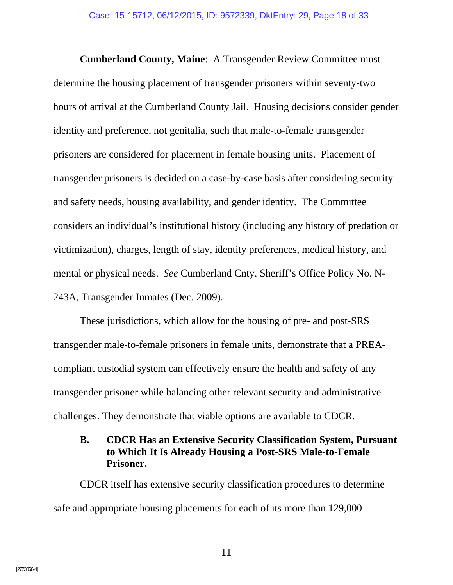**Cumberland County, Maine**: A Transgender Review Committee must determine the housing placement of transgender prisoners within seventy-two hours of arrival at the Cumberland County Jail. Housing decisions consider gender identity and preference, not genitalia, such that male-to-female transgender prisoners are considered for placement in female housing units. Placement of transgender prisoners is decided on a case-by-case basis after considering security and safety needs, housing availability, and gender identity. The Committee considers an individual's institutional history (including any history of predation or victimization), charges, length of stay, identity preferences, medical history, and mental or physical needs. *See* Cumberland Cnty. Sheriff's Office Policy No. N-243A, Transgender Inmates (Dec. 2009).

These jurisdictions, which allow for the housing of pre- and post-SRS transgender male-to-female prisoners in female units, demonstrate that a PREAcompliant custodial system can effectively ensure the health and safety of any transgender prisoner while balancing other relevant security and administrative challenges. They demonstrate that viable options are available to CDCR.

### **B. CDCR Has an Extensive Security Classification System, Pursuant to Which It Is Already Housing a Post-SRS Male-to-Female Prisoner.**

CDCR itself has extensive security classification procedures to determine safe and appropriate housing placements for each of its more than 129,000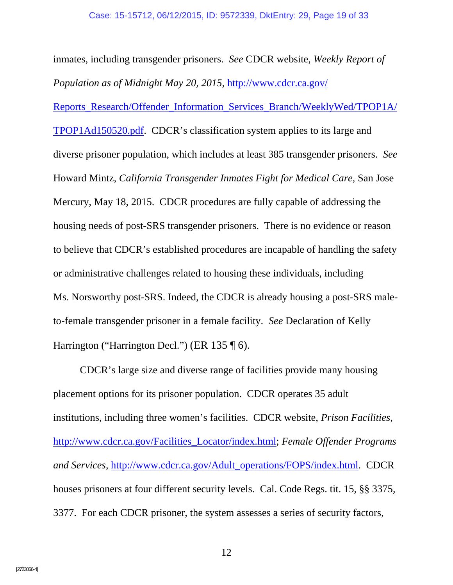inmates, including transgender prisoners. *See* CDCR website, *Weekly Report of Population as of Midnight May 20, 2015*, http://www.cdcr.ca.gov/ Reports\_Research/Offender\_Information\_Services\_Branch/WeeklyWed/TPOP1A/ TPOP1Ad150520.pdf. CDCR's classification system applies to its large and diverse prisoner population, which includes at least 385 transgender prisoners. *See* Howard Mintz, *California Transgender Inmates Fight for Medical Care*, San Jose Mercury, May 18, 2015. CDCR procedures are fully capable of addressing the housing needs of post-SRS transgender prisoners. There is no evidence or reason to believe that CDCR's established procedures are incapable of handling the safety or administrative challenges related to housing these individuals, including Ms. Norsworthy post-SRS. Indeed, the CDCR is already housing a post-SRS maleto-female transgender prisoner in a female facility. *See* Declaration of Kelly Harrington ("Harrington Decl.") (ER 135 ¶ 6).

CDCR's large size and diverse range of facilities provide many housing placement options for its prisoner population. CDCR operates 35 adult institutions, including three women's facilities. CDCR website, *Prison Facilities*, http://www.cdcr.ca.gov/Facilities\_Locator/index.html; *Female Offender Programs and Services*, http://www.cdcr.ca.gov/Adult\_operations/FOPS/index.html. CDCR houses prisoners at four different security levels. Cal. Code Regs. tit. 15, §§ 3375, 3377. For each CDCR prisoner, the system assesses a series of security factors,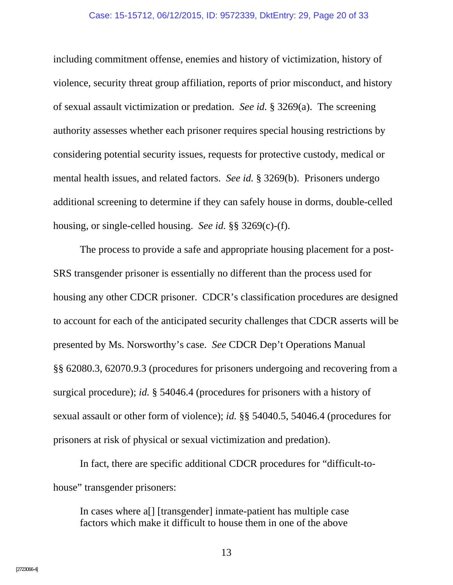#### Case: 15-15712, 06/12/2015, ID: 9572339, DktEntry: 29, Page 20 of 33

including commitment offense, enemies and history of victimization, history of violence, security threat group affiliation, reports of prior misconduct, and history of sexual assault victimization or predation. *See id.* § 3269(a). The screening authority assesses whether each prisoner requires special housing restrictions by considering potential security issues, requests for protective custody, medical or mental health issues, and related factors. *See id.* § 3269(b). Prisoners undergo additional screening to determine if they can safely house in dorms, double-celled housing, or single-celled housing. *See id.* §§ 3269(c)-(f).

The process to provide a safe and appropriate housing placement for a post-SRS transgender prisoner is essentially no different than the process used for housing any other CDCR prisoner. CDCR's classification procedures are designed to account for each of the anticipated security challenges that CDCR asserts will be presented by Ms. Norsworthy's case. *See* CDCR Dep't Operations Manual §§ 62080.3, 62070.9.3 (procedures for prisoners undergoing and recovering from a surgical procedure); *id.* § 54046.4 (procedures for prisoners with a history of sexual assault or other form of violence); *id.* §§ 54040.5, 54046.4 (procedures for prisoners at risk of physical or sexual victimization and predation).

In fact, there are specific additional CDCR procedures for "difficult-tohouse" transgender prisoners:

In cases where a[] [transgender] inmate-patient has multiple case factors which make it difficult to house them in one of the above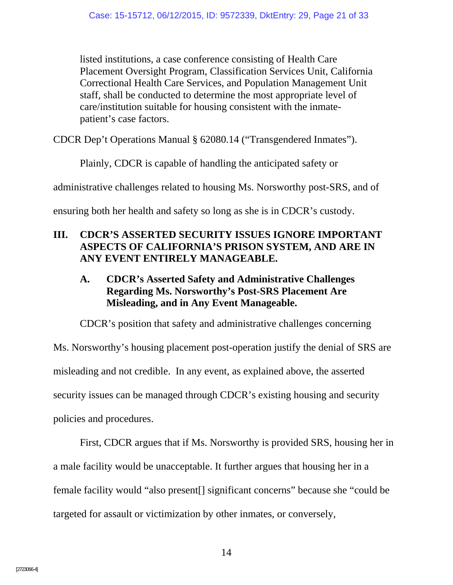listed institutions, a case conference consisting of Health Care Placement Oversight Program, Classification Services Unit, California Correctional Health Care Services, and Population Management Unit staff, shall be conducted to determine the most appropriate level of care/institution suitable for housing consistent with the inmatepatient's case factors.

CDCR Dep't Operations Manual § 62080.14 ("Transgendered Inmates").

Plainly, CDCR is capable of handling the anticipated safety or

administrative challenges related to housing Ms. Norsworthy post-SRS, and of

ensuring both her health and safety so long as she is in CDCR's custody.

## **III. CDCR'S ASSERTED SECURITY ISSUES IGNORE IMPORTANT ASPECTS OF CALIFORNIA'S PRISON SYSTEM, AND ARE IN ANY EVENT ENTIRELY MANAGEABLE.**

## **A. CDCR's Asserted Safety and Administrative Challenges Regarding Ms. Norsworthy's Post-SRS Placement Are Misleading, and in Any Event Manageable.**

CDCR's position that safety and administrative challenges concerning Ms. Norsworthy's housing placement post-operation justify the denial of SRS are misleading and not credible. In any event, as explained above, the asserted security issues can be managed through CDCR's existing housing and security policies and procedures.

First, CDCR argues that if Ms. Norsworthy is provided SRS, housing her in a male facility would be unacceptable. It further argues that housing her in a female facility would "also present[] significant concerns" because she "could be targeted for assault or victimization by other inmates, or conversely,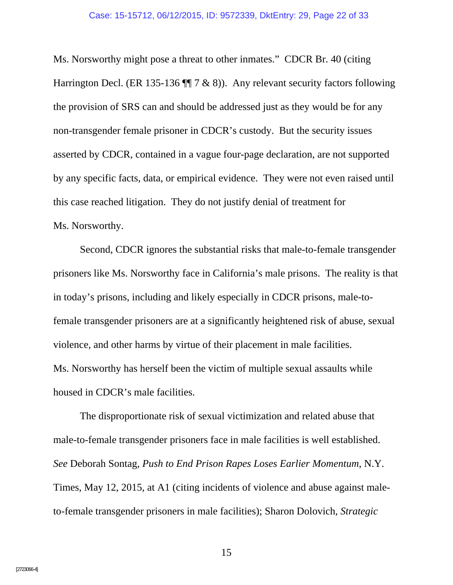#### Case: 15-15712, 06/12/2015, ID: 9572339, DktEntry: 29, Page 22 of 33

Ms. Norsworthy might pose a threat to other inmates." CDCR Br. 40 (citing Harrington Decl. (ER 135-136  $\P$  $7 \& 8$ )). Any relevant security factors following the provision of SRS can and should be addressed just as they would be for any non-transgender female prisoner in CDCR's custody. But the security issues asserted by CDCR, contained in a vague four-page declaration, are not supported by any specific facts, data, or empirical evidence. They were not even raised until this case reached litigation. They do not justify denial of treatment for Ms. Norsworthy.

Second, CDCR ignores the substantial risks that male-to-female transgender prisoners like Ms. Norsworthy face in California's male prisons. The reality is that in today's prisons, including and likely especially in CDCR prisons, male-tofemale transgender prisoners are at a significantly heightened risk of abuse, sexual violence, and other harms by virtue of their placement in male facilities. Ms. Norsworthy has herself been the victim of multiple sexual assaults while housed in CDCR's male facilities.

The disproportionate risk of sexual victimization and related abuse that male-to-female transgender prisoners face in male facilities is well established. *See* Deborah Sontag, *Push to End Prison Rapes Loses Earlier Momentum*, N.Y. Times, May 12, 2015, at A1 (citing incidents of violence and abuse against maleto-female transgender prisoners in male facilities); Sharon Dolovich, *Strategic*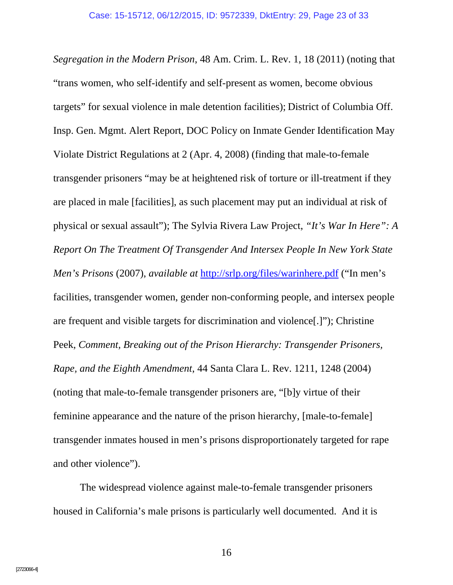*Segregation in the Modern Prison*, 48 Am. Crim. L. Rev. 1, 18 (2011) (noting that "trans women, who self-identify and self-present as women, become obvious targets" for sexual violence in male detention facilities); District of Columbia Off. Insp. Gen. Mgmt. Alert Report, DOC Policy on Inmate Gender Identification May Violate District Regulations at 2 (Apr. 4, 2008) (finding that male-to-female transgender prisoners "may be at heightened risk of torture or ill-treatment if they are placed in male [facilities], as such placement may put an individual at risk of physical or sexual assault"); The Sylvia Rivera Law Project, *"It's War In Here": A Report On The Treatment Of Transgender And Intersex People In New York State Men's Prisons* (2007), *available at* http://srlp.org/files/warinhere.pdf ("In men's facilities, transgender women, gender non-conforming people, and intersex people are frequent and visible targets for discrimination and violence[.]"); Christine Peek, *Comment, Breaking out of the Prison Hierarchy: Transgender Prisoners, Rape, and the Eighth Amendment*, 44 Santa Clara L. Rev. 1211, 1248 (2004) (noting that male-to-female transgender prisoners are, "[b]y virtue of their feminine appearance and the nature of the prison hierarchy, [male-to-female] transgender inmates housed in men's prisons disproportionately targeted for rape and other violence").

The widespread violence against male-to-female transgender prisoners housed in California's male prisons is particularly well documented. And it is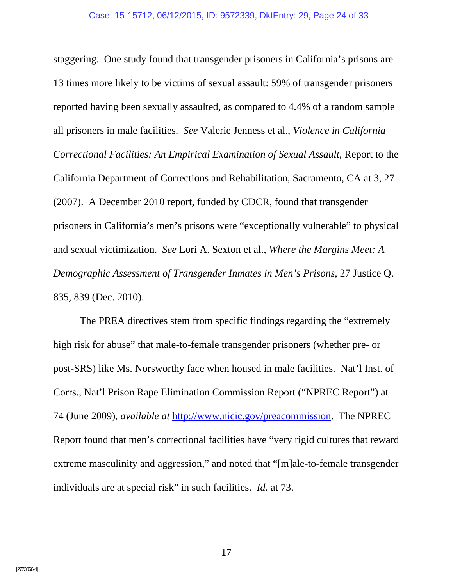staggering. One study found that transgender prisoners in California's prisons are 13 times more likely to be victims of sexual assault: 59% of transgender prisoners reported having been sexually assaulted, as compared to 4.4% of a random sample all prisoners in male facilities. *See* Valerie Jenness et al., *Violence in California Correctional Facilities: An Empirical Examination of Sexual Assault,* Report to the California Department of Corrections and Rehabilitation, Sacramento, CA at 3, 27 (2007). A December 2010 report, funded by CDCR, found that transgender prisoners in California's men's prisons were "exceptionally vulnerable" to physical and sexual victimization. *See* Lori A. Sexton et al., *Where the Margins Meet: A Demographic Assessment of Transgender Inmates in Men's Prisons*, 27 Justice Q. 835, 839 (Dec. 2010).

The PREA directives stem from specific findings regarding the "extremely high risk for abuse" that male-to-female transgender prisoners (whether pre- or post-SRS) like Ms. Norsworthy face when housed in male facilities. Nat'l Inst. of Corrs., Nat'l Prison Rape Elimination Commission Report ("NPREC Report") at 74 (June 2009), *available at* http://www.nicic.gov/preacommission. The NPREC Report found that men's correctional facilities have "very rigid cultures that reward extreme masculinity and aggression," and noted that "[m]ale-to-female transgender individuals are at special risk" in such facilities. *Id.* at 73.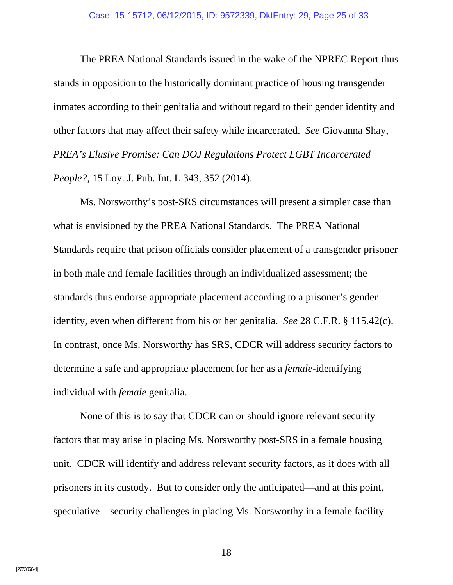The PREA National Standards issued in the wake of the NPREC Report thus stands in opposition to the historically dominant practice of housing transgender inmates according to their genitalia and without regard to their gender identity and other factors that may affect their safety while incarcerated. *See* Giovanna Shay, *PREA's Elusive Promise: Can DOJ Regulations Protect LGBT Incarcerated People?*, 15 Loy. J. Pub. Int. L 343, 352 (2014).

Ms. Norsworthy's post-SRS circumstances will present a simpler case than what is envisioned by the PREA National Standards. The PREA National Standards require that prison officials consider placement of a transgender prisoner in both male and female facilities through an individualized assessment; the standards thus endorse appropriate placement according to a prisoner's gender identity, even when different from his or her genitalia. *See* 28 C.F.R. § 115.42(c). In contrast, once Ms. Norsworthy has SRS, CDCR will address security factors to determine a safe and appropriate placement for her as a *female*-identifying individual with *female* genitalia.

None of this is to say that CDCR can or should ignore relevant security factors that may arise in placing Ms. Norsworthy post-SRS in a female housing unit. CDCR will identify and address relevant security factors, as it does with all prisoners in its custody. But to consider only the anticipated—and at this point, speculative—security challenges in placing Ms. Norsworthy in a female facility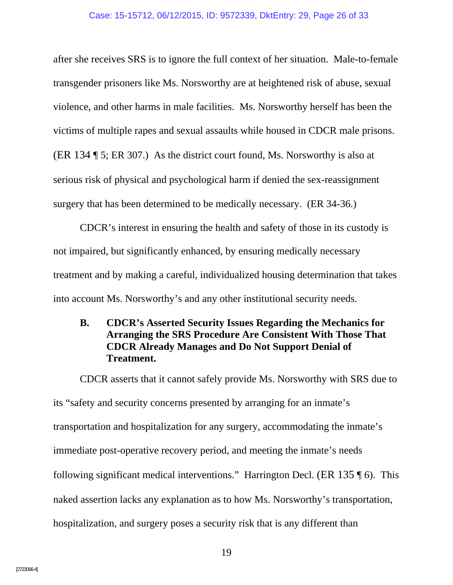#### Case: 15-15712, 06/12/2015, ID: 9572339, DktEntry: 29, Page 26 of 33

after she receives SRS is to ignore the full context of her situation. Male-to-female transgender prisoners like Ms. Norsworthy are at heightened risk of abuse, sexual violence, and other harms in male facilities. Ms. Norsworthy herself has been the victims of multiple rapes and sexual assaults while housed in CDCR male prisons. (ER 134 ¶ 5; ER 307.) As the district court found, Ms. Norsworthy is also at serious risk of physical and psychological harm if denied the sex-reassignment surgery that has been determined to be medically necessary. (ER 34-36.)

CDCR's interest in ensuring the health and safety of those in its custody is not impaired, but significantly enhanced, by ensuring medically necessary treatment and by making a careful, individualized housing determination that takes into account Ms. Norsworthy's and any other institutional security needs.

### **B. CDCR's Asserted Security Issues Regarding the Mechanics for Arranging the SRS Procedure Are Consistent With Those That CDCR Already Manages and Do Not Support Denial of Treatment.**

CDCR asserts that it cannot safely provide Ms. Norsworthy with SRS due to its "safety and security concerns presented by arranging for an inmate's transportation and hospitalization for any surgery, accommodating the inmate's immediate post-operative recovery period, and meeting the inmate's needs following significant medical interventions." Harrington Decl. (ER 135 ¶ 6). This naked assertion lacks any explanation as to how Ms. Norsworthy's transportation, hospitalization, and surgery poses a security risk that is any different than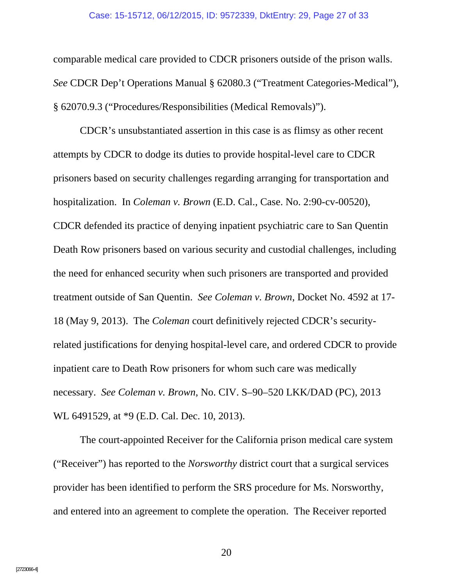#### Case: 15-15712, 06/12/2015, ID: 9572339, DktEntry: 29, Page 27 of 33

comparable medical care provided to CDCR prisoners outside of the prison walls. *See* CDCR Dep't Operations Manual § 62080.3 ("Treatment Categories-Medical"), § 62070.9.3 ("Procedures/Responsibilities (Medical Removals)").

CDCR's unsubstantiated assertion in this case is as flimsy as other recent attempts by CDCR to dodge its duties to provide hospital-level care to CDCR prisoners based on security challenges regarding arranging for transportation and hospitalization. In *Coleman v. Brown* (E.D. Cal., Case. No. 2:90-cv-00520), CDCR defended its practice of denying inpatient psychiatric care to San Quentin Death Row prisoners based on various security and custodial challenges, including the need for enhanced security when such prisoners are transported and provided treatment outside of San Quentin. *See Coleman v. Brown*, Docket No. 4592 at 17- 18 (May 9, 2013). The *Coleman* court definitively rejected CDCR's securityrelated justifications for denying hospital-level care, and ordered CDCR to provide inpatient care to Death Row prisoners for whom such care was medically necessary. *See Coleman v. Brown*, No. CIV. S–90–520 LKK/DAD (PC), 2013 WL 6491529, at \*9 (E.D. Cal. Dec. 10, 2013).

The court-appointed Receiver for the California prison medical care system ("Receiver") has reported to the *Norsworthy* district court that a surgical services provider has been identified to perform the SRS procedure for Ms. Norsworthy, and entered into an agreement to complete the operation. The Receiver reported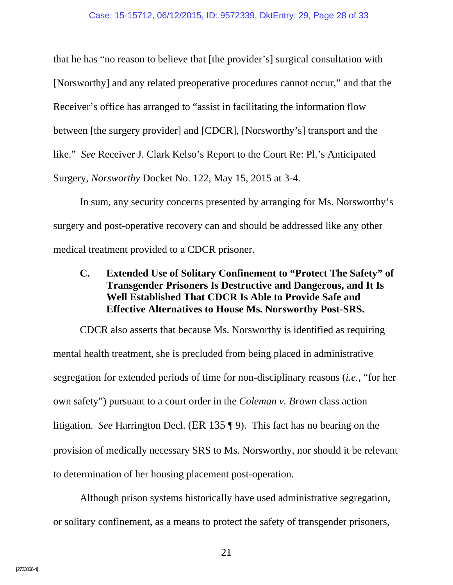that he has "no reason to believe that [the provider's] surgical consultation with [Norsworthy] and any related preoperative procedures cannot occur," and that the Receiver's office has arranged to "assist in facilitating the information flow between [the surgery provider] and [CDCR], [Norsworthy's] transport and the like." *See* Receiver J. Clark Kelso's Report to the Court Re: Pl.'s Anticipated Surgery, *Norsworthy* Docket No. 122, May 15, 2015 at 3-4.

In sum, any security concerns presented by arranging for Ms. Norsworthy's surgery and post-operative recovery can and should be addressed like any other medical treatment provided to a CDCR prisoner.

### **C. Extended Use of Solitary Confinement to "Protect The Safety" of Transgender Prisoners Is Destructive and Dangerous, and It Is Well Established That CDCR Is Able to Provide Safe and Effective Alternatives to House Ms. Norsworthy Post-SRS.**

CDCR also asserts that because Ms. Norsworthy is identified as requiring mental health treatment, she is precluded from being placed in administrative segregation for extended periods of time for non-disciplinary reasons (*i.e.*, "for her own safety") pursuant to a court order in the *Coleman v. Brown* class action litigation. *See* Harrington Decl. (ER 135 ¶ 9). This fact has no bearing on the provision of medically necessary SRS to Ms. Norsworthy, nor should it be relevant to determination of her housing placement post-operation.

Although prison systems historically have used administrative segregation, or solitary confinement, as a means to protect the safety of transgender prisoners,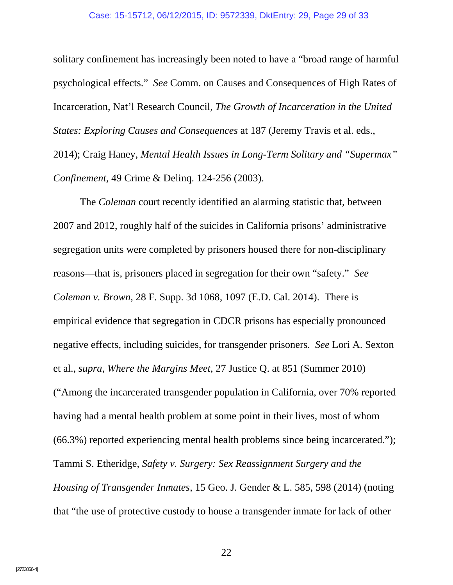#### Case: 15-15712, 06/12/2015, ID: 9572339, DktEntry: 29, Page 29 of 33

solitary confinement has increasingly been noted to have a "broad range of harmful psychological effects." *See* Comm. on Causes and Consequences of High Rates of Incarceration, Nat'l Research Council, *The Growth of Incarceration in the United States: Exploring Causes and Consequences* at 187 (Jeremy Travis et al. eds., 2014); Craig Haney, *Mental Health Issues in Long-Term Solitary and "Supermax" Confinement,* 49 Crime & Delinq. 124-256 (2003).

The *Coleman* court recently identified an alarming statistic that, between 2007 and 2012, roughly half of the suicides in California prisons' administrative segregation units were completed by prisoners housed there for non-disciplinary reasons—that is, prisoners placed in segregation for their own "safety." *See Coleman v. Brown*, 28 F. Supp. 3d 1068, 1097 (E.D. Cal. 2014). There is empirical evidence that segregation in CDCR prisons has especially pronounced negative effects, including suicides, for transgender prisoners. *See* Lori A. Sexton et al., *supra*, *Where the Margins Meet*, 27 Justice Q. at 851 (Summer 2010) ("Among the incarcerated transgender population in California, over 70% reported having had a mental health problem at some point in their lives, most of whom (66.3%) reported experiencing mental health problems since being incarcerated."); Tammi S. Etheridge, *Safety v. Surgery: Sex Reassignment Surgery and the Housing of Transgender Inmates*, 15 Geo. J. Gender & L. 585, 598 (2014) (noting that "the use of protective custody to house a transgender inmate for lack of other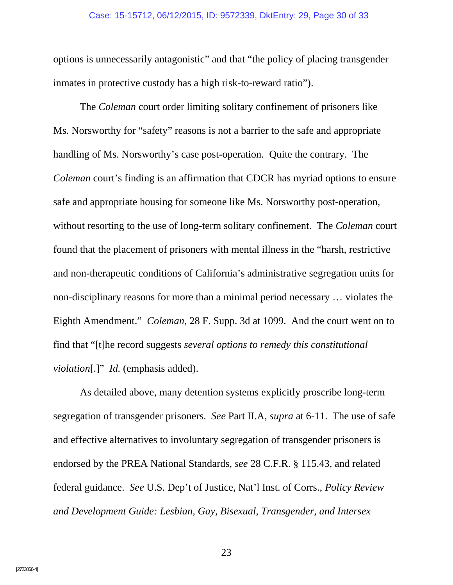#### Case: 15-15712, 06/12/2015, ID: 9572339, DktEntry: 29, Page 30 of 33

options is unnecessarily antagonistic" and that "the policy of placing transgender inmates in protective custody has a high risk-to-reward ratio").

The *Coleman* court order limiting solitary confinement of prisoners like Ms. Norsworthy for "safety" reasons is not a barrier to the safe and appropriate handling of Ms. Norsworthy's case post-operation. Quite the contrary. The *Coleman* court's finding is an affirmation that CDCR has myriad options to ensure safe and appropriate housing for someone like Ms. Norsworthy post-operation, without resorting to the use of long-term solitary confinement. The *Coleman* court found that the placement of prisoners with mental illness in the "harsh, restrictive and non-therapeutic conditions of California's administrative segregation units for non-disciplinary reasons for more than a minimal period necessary … violates the Eighth Amendment." *Coleman*, 28 F. Supp. 3d at 1099. And the court went on to find that "[t]he record suggests *several options to remedy this constitutional violation*[.]" *Id.* (emphasis added).

As detailed above, many detention systems explicitly proscribe long-term segregation of transgender prisoners. *See* Part II.A, *supra* at 6-11. The use of safe and effective alternatives to involuntary segregation of transgender prisoners is endorsed by the PREA National Standards, *see* 28 C.F.R. § 115.43, and related federal guidance. *See* U.S. Dep't of Justice, Nat'l Inst. of Corrs., *Policy Review and Development Guide: Lesbian, Gay, Bisexual, Transgender, and Intersex*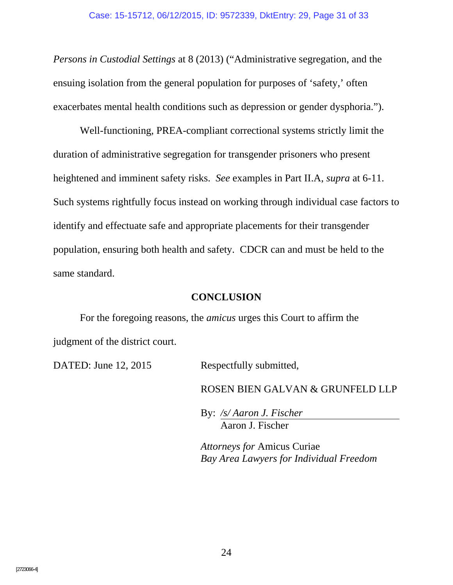*Persons in Custodial Settings* at 8 (2013) ("Administrative segregation, and the ensuing isolation from the general population for purposes of 'safety,' often exacerbates mental health conditions such as depression or gender dysphoria.").

Well-functioning, PREA-compliant correctional systems strictly limit the duration of administrative segregation for transgender prisoners who present heightened and imminent safety risks. *See* examples in Part II.A, *supra* at 6-11. Such systems rightfully focus instead on working through individual case factors to identify and effectuate safe and appropriate placements for their transgender population, ensuring both health and safety. CDCR can and must be held to the same standard.

#### **CONCLUSION**

For the foregoing reasons, the *amicus* urges this Court to affirm the judgment of the district court.

DATED: June 12, 2015 Respectfully submitted,

ROSEN BIEN GALVAN & GRUNFELD LLP

 By: */s/ Aaron J. Fischer* Aaron J. Fischer

*Attorneys for* Amicus Curiae *Bay Area Lawyers for Individual Freedom*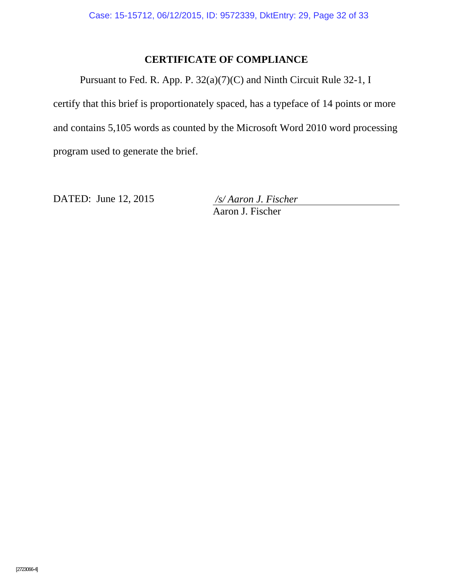## **CERTIFICATE OF COMPLIANCE**

Pursuant to Fed. R. App. P. 32(a)(7)(C) and Ninth Circuit Rule 32-1, I certify that this brief is proportionately spaced, has a typeface of 14 points or more and contains 5,105 words as counted by the Microsoft Word 2010 word processing program used to generate the brief.

DATED: June 12, 2015 */s/ Aaron J. Fischer* 

Aaron J. Fischer